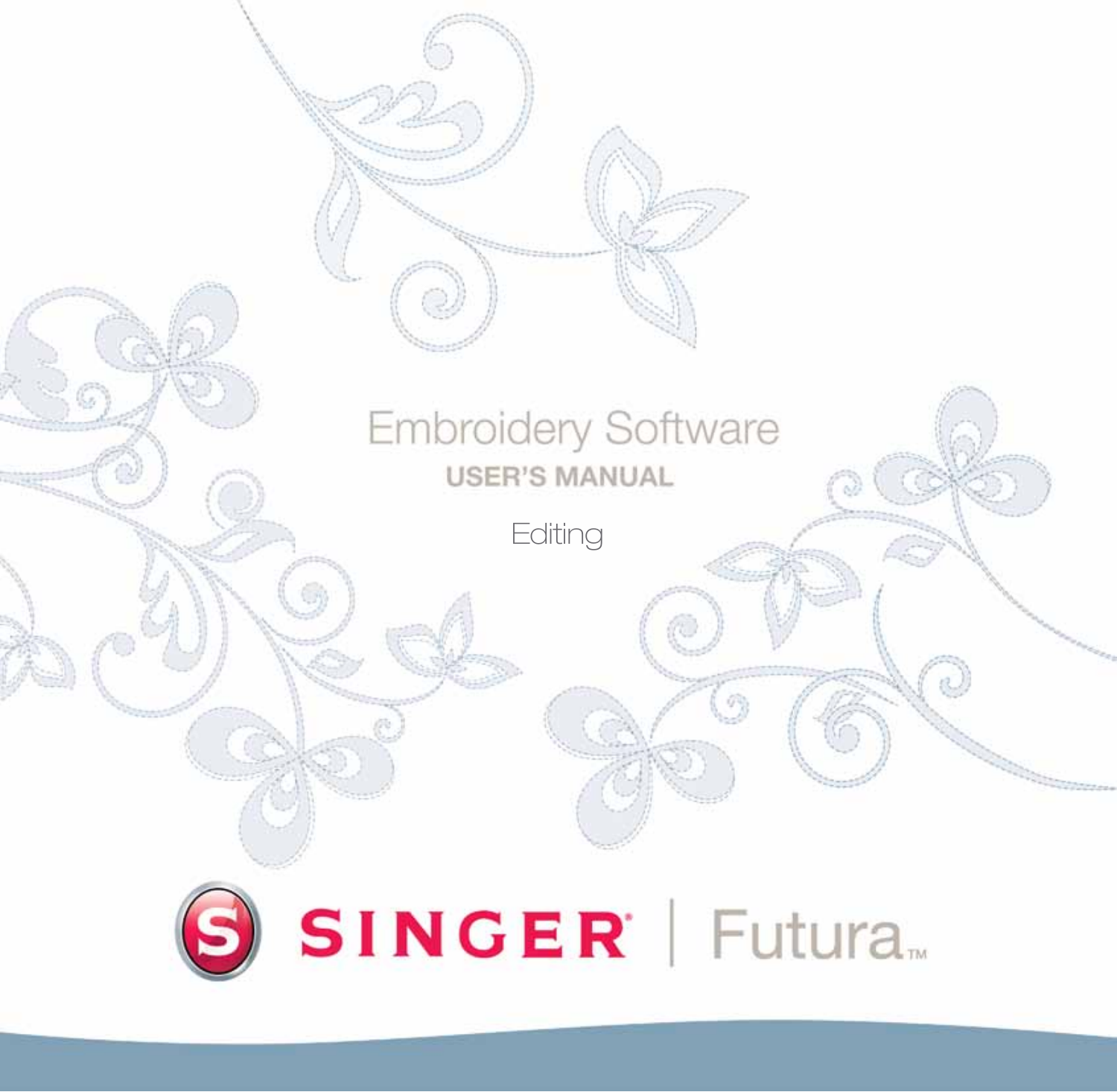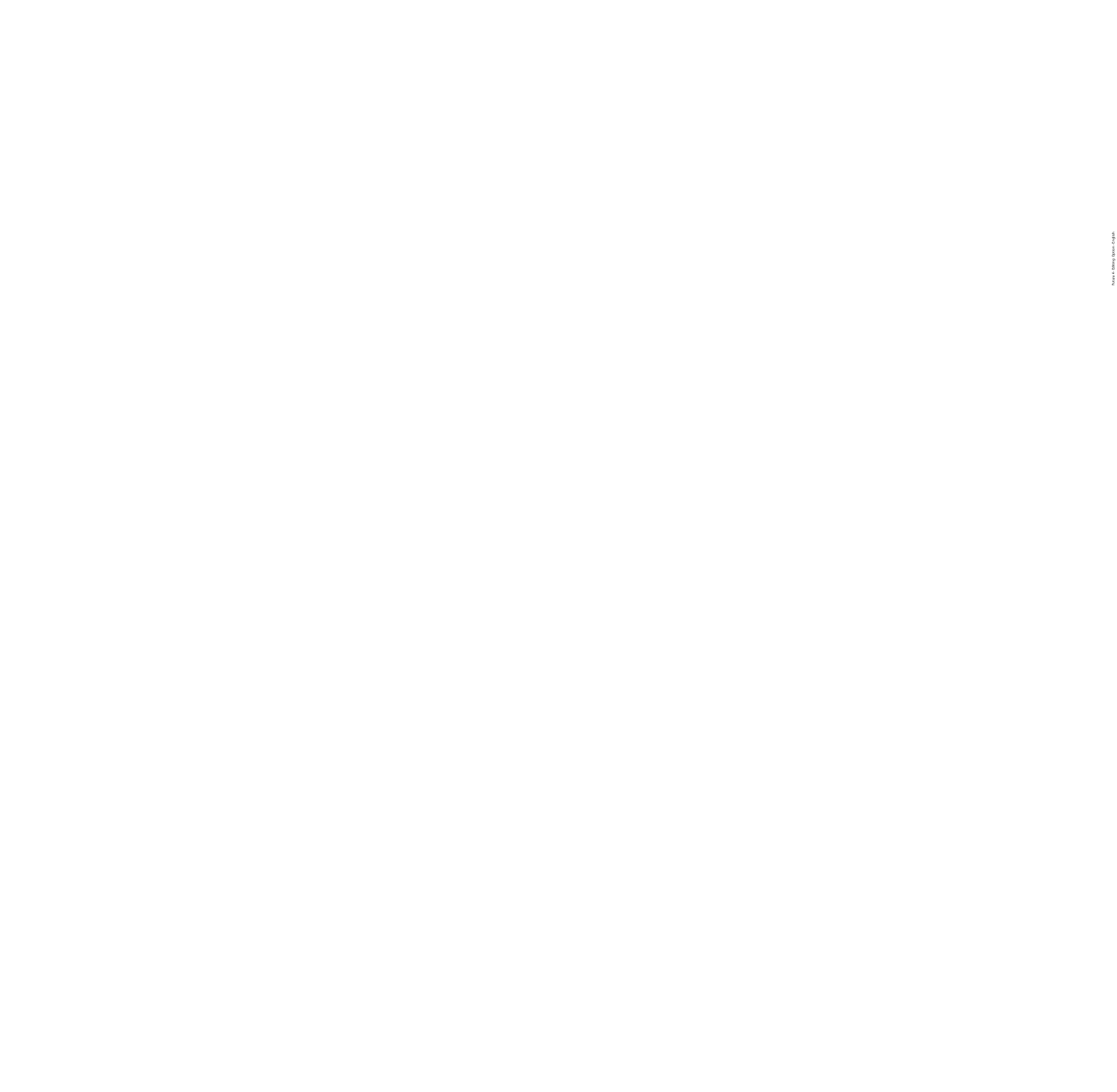Futura 4 - Editing Option - English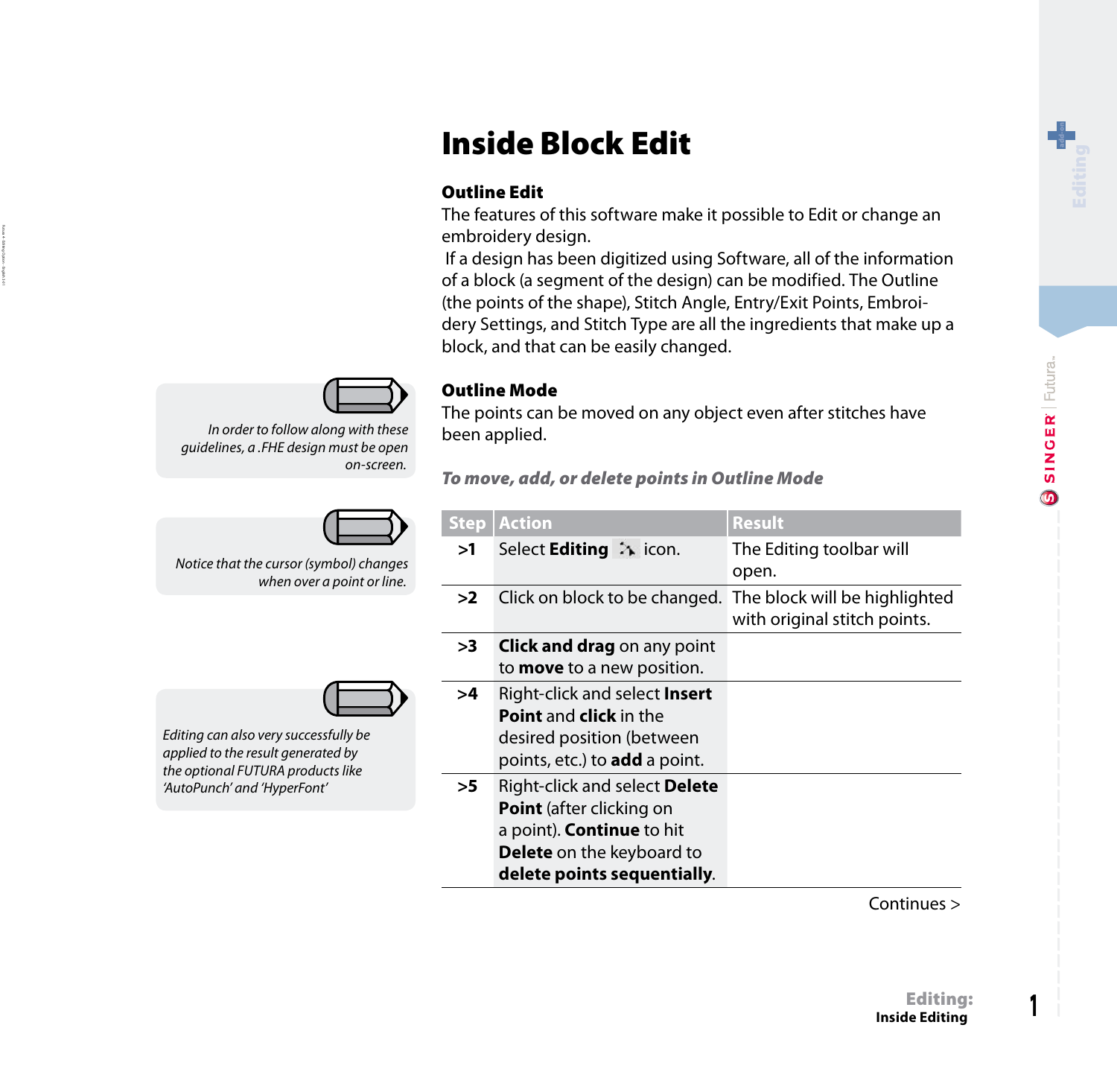# **SINGER** Futura.  $\boldsymbol{\omega}$

# Inside Block Edit

#### Outline Edit

Outline Mode

The features of this software make it possible to Edit or change an embroidery design.

 If a design has been digitized using Software, all of the information of a block (a segment of the design) can be modified. The Outline (the points of the shape), Stitch Angle, Entry/Exit Points, Embroidery Settings, and Stitch Type are all the ingredients that make up a block, and that can be easily changed.



#### *In order to follow along with these guidelines, a .FHE design must be open on-screen.*

Futura 4 - Editing Option - English 3-01

*Notice that the cursor (symbol) changes when over a point or line.*



*Editing can also very successfully be applied to the result generated by the optional FUTURA products like 'AutoPunch' and 'HyperFont'*

The points can be moved on any object even after stitches have been applied.

*To move, add, or delete points in Outline Mode*

| <b>Step</b> | <b>Action</b>                        | <b>Result</b>                 |
|-------------|--------------------------------------|-------------------------------|
| >1          | Select <b>Editing</b> > icon.        | The Editing toolbar will      |
|             |                                      | open.                         |
| >2          | Click on block to be changed.        | The block will be highlighted |
|             |                                      | with original stitch points.  |
| >3          | <b>Click and drag</b> on any point   |                               |
|             | to <b>move</b> to a new position.    |                               |
| >4          | Right-click and select <b>Insert</b> |                               |
|             | <b>Point</b> and <b>click</b> in the |                               |
|             | desired position (between            |                               |
|             | points, etc.) to add a point.        |                               |
| >5          | Right-click and select Delete        |                               |
|             | <b>Point</b> (after clicking on      |                               |
|             | a point). Continue to hit            |                               |
|             | Delete on the keyboard to            |                               |
|             | delete points sequentially.          |                               |
|             |                                      |                               |

Continues >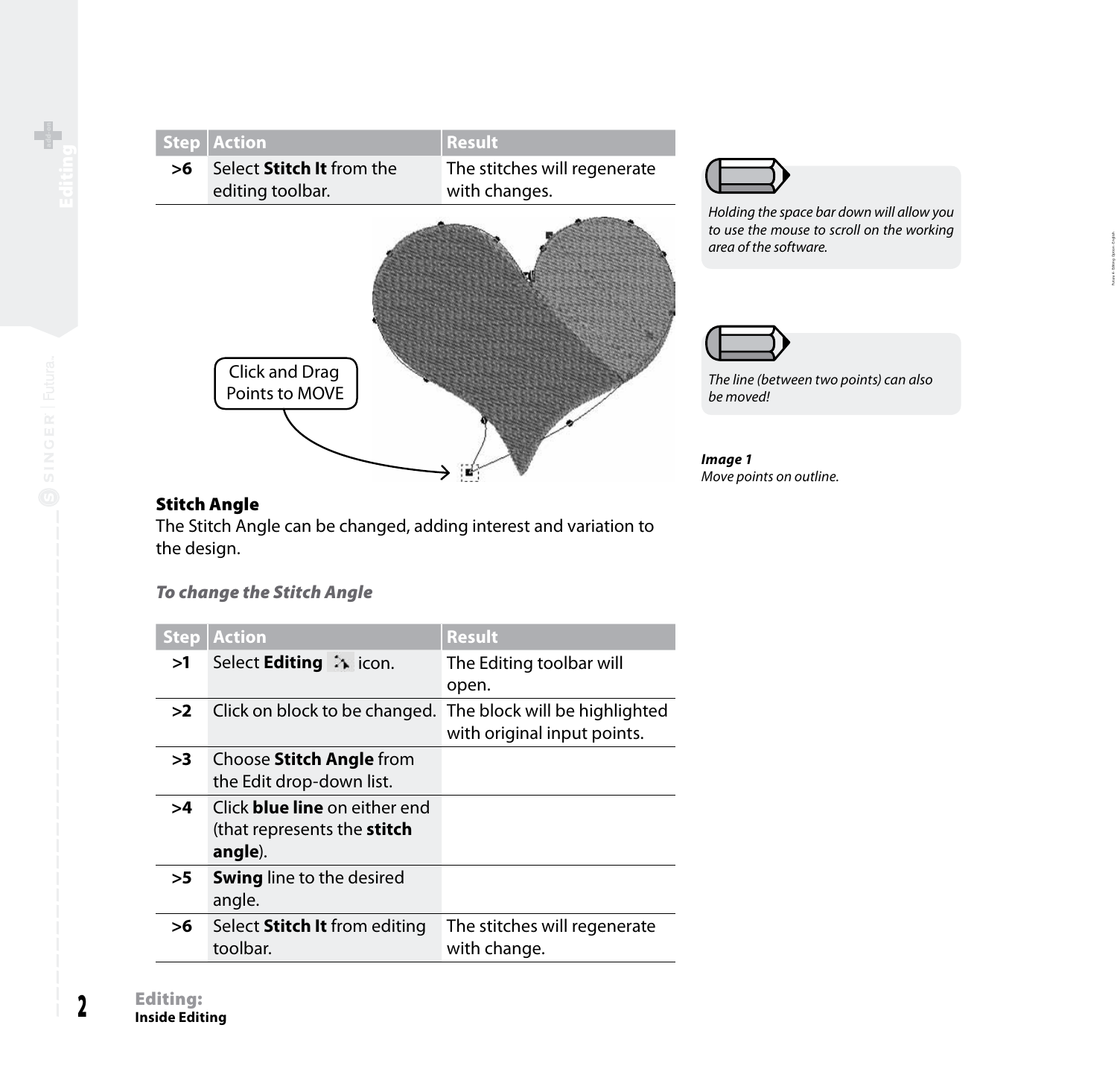



*Holding the space bar down will allow you to use the mouse to scroll on the working area of the software.*

Futura 4 - Editing Option - English



*The line (between two points) can also be moved!*

*Image 1 Move points on outline.*

#### Stitch Angle

The Stitch Angle can be changed, adding interest and variation to the design.

#### *To change the Stitch Angle*

| <b>Step</b> | <b>Action</b>                                                                         | <b>Result</b>                                                |
|-------------|---------------------------------------------------------------------------------------|--------------------------------------------------------------|
| >1          | Select <b>Editing</b> $\lambda$ icon.                                                 | The Editing toolbar will<br>open.                            |
| >2          | Click on block to be changed.                                                         | The block will be highlighted<br>with original input points. |
| >3          | Choose <b>Stitch Angle</b> from<br>the Edit drop-down list.                           |                                                              |
| >4          | Click <b>blue line</b> on either end<br>(that represents the <b>stitch</b><br>angle). |                                                              |
| >5          | <b>Swing</b> line to the desired<br>angle.                                            |                                                              |
| >6          | Select Stitch It from editing<br>toolbar.                                             | The stitches will regenerate<br>with change.                 |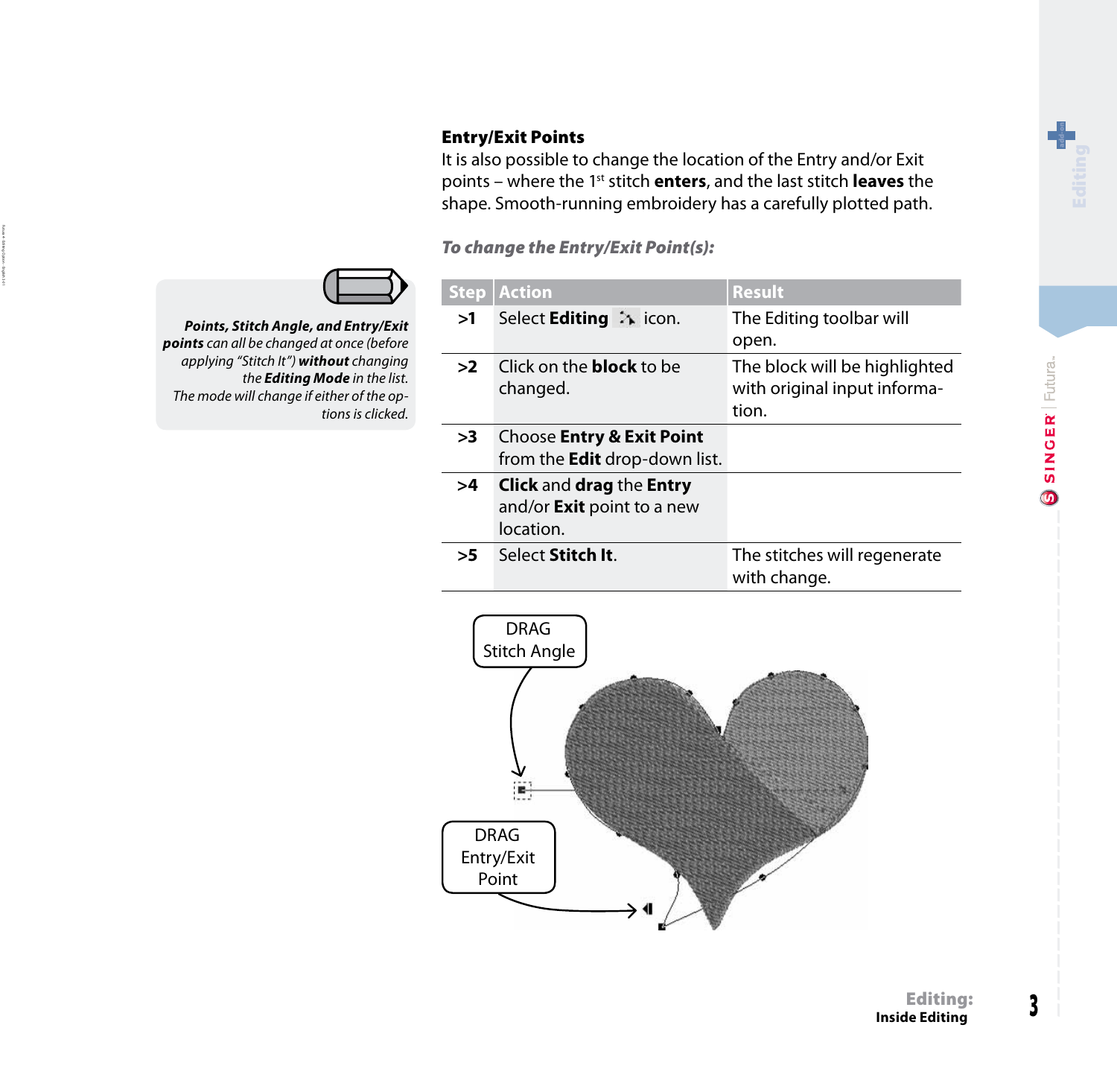#### Entry/Exit Points

It is also possible to change the location of the Entry and/or Exit points – where the 1st stitch **enters**, and the last stitch **leaves** the shape. Smooth-running embroidery has a carefully plotted path.

*To change the Entry/Exit Point(s):*



*Points, Stitch Angle, and Entry/Exit points can all be changed at once (before applying "Stitch It") without changing the Editing Mode in the list. The mode will change if either of the options is clicked.*

Futura 4 - Editing Option - English 3-01

| <b>Step</b> | <b>Action</b>                                                                     | <b>Result</b>                                                          |
|-------------|-----------------------------------------------------------------------------------|------------------------------------------------------------------------|
| >1          | Select <b>Editing</b> $\lambda$ icon.                                             | The Editing toolbar will<br>open.                                      |
| >2          | Click on the <b>block</b> to be<br>changed.                                       | The block will be highlighted<br>with original input informa-<br>tion. |
| >3          | Choose Entry & Exit Point<br>from the <b>Edit</b> drop-down list.                 |                                                                        |
| >4          | <b>Click and drag the Entry</b><br>and/or <b>Exit</b> point to a new<br>location. |                                                                        |
| >5          | Select Stitch It.                                                                 | The stitches will regenerate<br>with change.                           |
|             |                                                                                   |                                                                        |

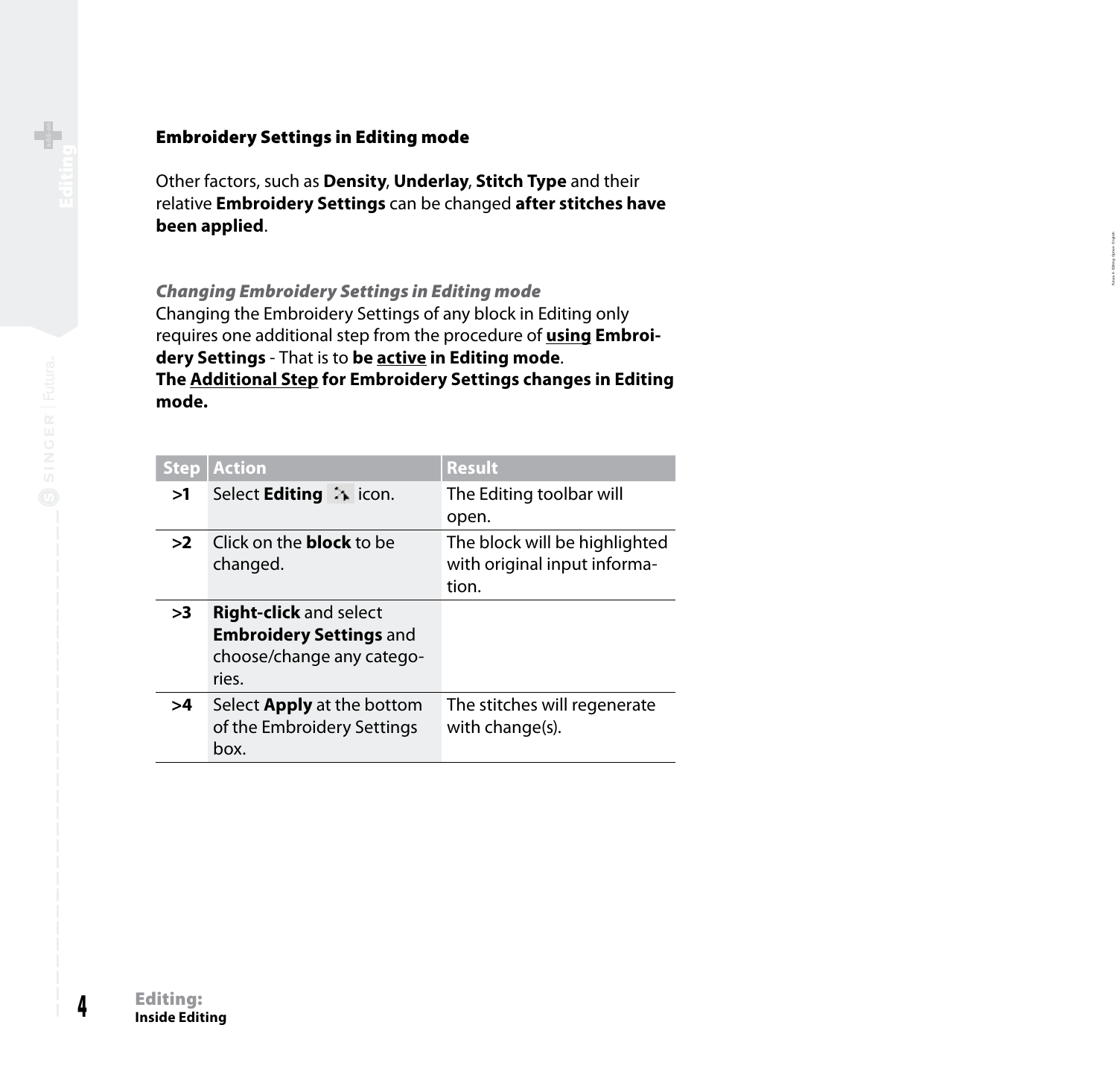#### Embroidery Settings in Editing mode

Other factors, such as **Density**, **Underlay**, **Stitch Type** and their relative **Embroidery Settings** can be changed **after stitches have been applied**.

Futura 4 - Editing Option - English

*Changing Embroidery Settings in Editing mode* Changing the Embroidery Settings of any block in Editing only requires one additional step from the procedure of **using Embroi dery Settings** - That is to **be active in Editing mode** . **The Additional Step for Embroidery Settings changes in Editing mode.**

| <b>Step</b> | <b>Action</b>                                                                                         | <b>Result</b>                                                          |
|-------------|-------------------------------------------------------------------------------------------------------|------------------------------------------------------------------------|
| >1          | Select Editing > icon.                                                                                | The Editing toolbar will<br>open.                                      |
| >2          | Click on the <b>block</b> to be<br>changed.                                                           | The block will be highlighted<br>with original input informa-<br>tion. |
| >3          | <b>Right-click</b> and select<br><b>Embroidery Settings and</b><br>choose/change any catego-<br>ries. |                                                                        |
| >4          | Select <b>Apply</b> at the bottom<br>of the Embroidery Settings<br>box.                               | The stitches will regenerate<br>with change(s).                        |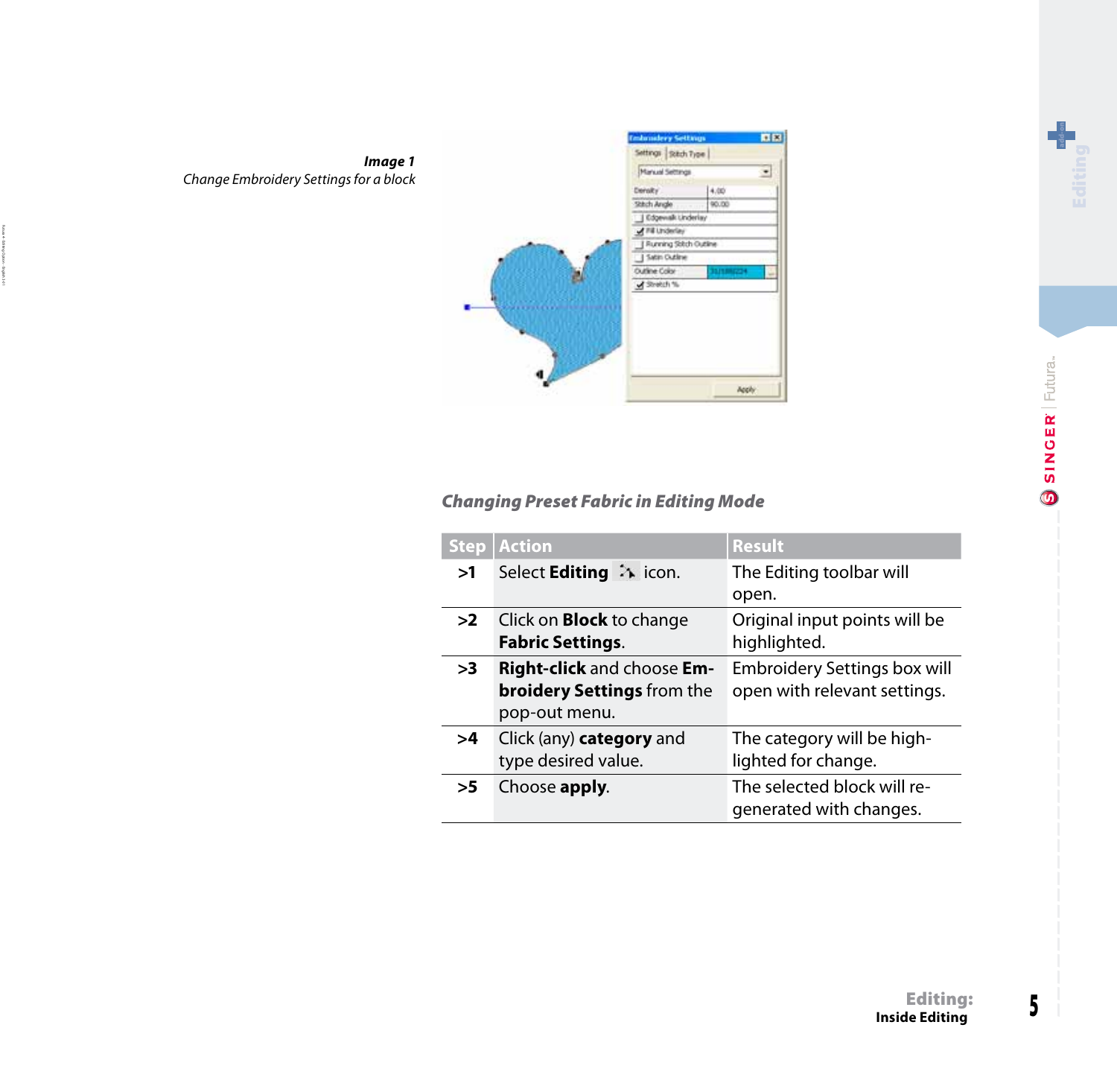

Futura 4 - Editing Option - English 3-01

#### *Changing Preset Fabric in Editing Mode*

| <b>Step</b> | <b>Action</b>                   | <b>Result</b>                 |
|-------------|---------------------------------|-------------------------------|
| >1          | Select Editing > icon.          | The Editing toolbar will      |
|             |                                 | open.                         |
| >2          | Click on <b>Block</b> to change | Original input points will be |
|             | <b>Fabric Settings.</b>         | highlighted.                  |
| >3          | Right-click and choose Em-      | Embroidery Settings box will  |
|             | broidery Settings from the      | open with relevant settings.  |
|             | pop-out menu.                   |                               |
| >4          | Click (any) category and        | The category will be high-    |
|             | type desired value.             | lighted for change.           |
| >5          | Choose apply.                   | The selected block will re-   |
|             |                                 | generated with changes.       |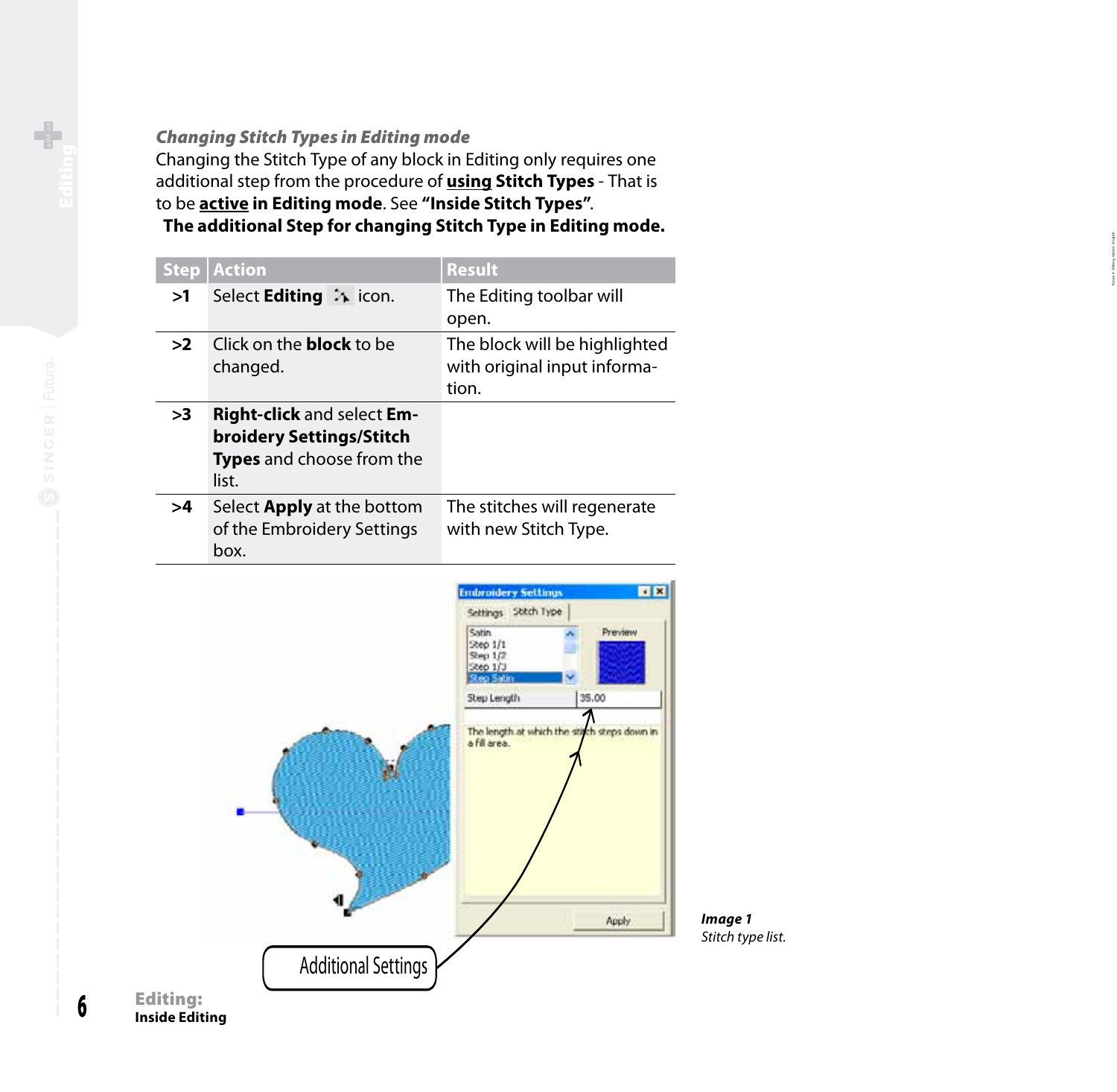Changing the Stitch Type of any block in Editing only requires one additional step from the procedure of **using Stitch Types** - That is to be **active in Editing mode**. See **"Inside Stitch Types"**.  **The additional Step for changing Stitch Type in Editing mode.**

Futura 4 - Editing Option - English

| <b>Step</b> | <b>Action</b>                                                                                              | <b>Result</b>                                                          |
|-------------|------------------------------------------------------------------------------------------------------------|------------------------------------------------------------------------|
| >1          | Select Editing > icon.                                                                                     | The Editing toolbar will<br>open.                                      |
| >2          | Click on the <b>block</b> to be<br>changed.                                                                | The block will be highlighted<br>with original input informa-<br>tion. |
| >3          | <b>Right-click and select Em-</b><br>broidery Settings/Stitch<br><b>Types</b> and choose from the<br>list. |                                                                        |
| >4          | Select <b>Apply</b> at the bottom<br>of the Embroidery Settings<br>box.                                    | The stitches will regenerate<br>with new Stitch Type.                  |



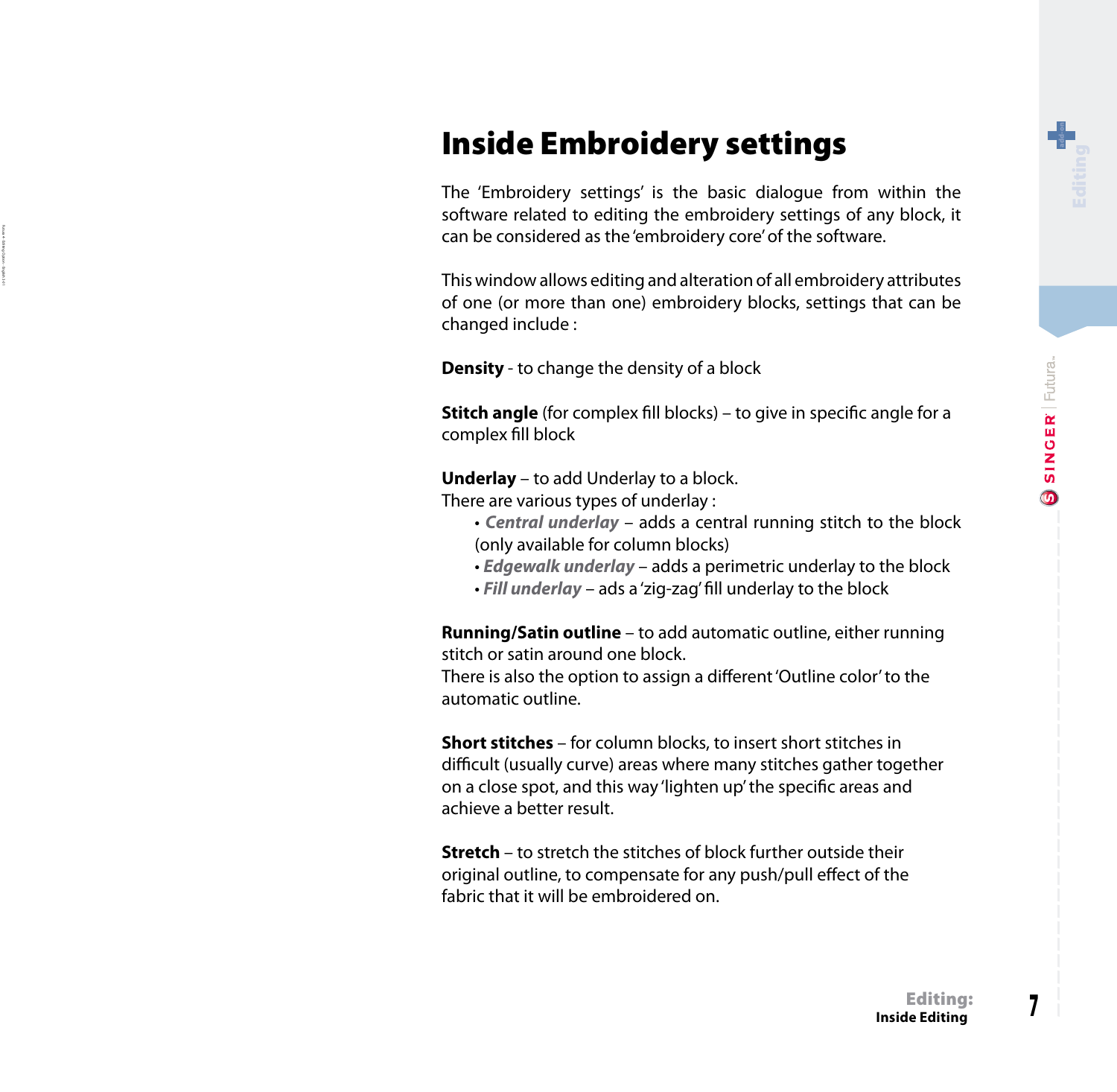# **SINGER** Futura.  $\overline{\mathbf{O}}$

# Inside Embroidery settings

The 'Embroidery settings' is the basic dialogue from within the software related to editing the embroidery settings of any block, it can be considered as the 'embroidery core' of the software.

This window allows editing and alteration of all embroidery attributes of one (or more than one) embroidery blocks, settings that can be changed include :

**Density** - to change the density of a block

**Stitch angle** (for complex fill blocks) – to give in specific angle for a complex fill block

**Underlay** – to add Underlay to a block.

There are various types of underlay :

Futura 4 - Editing Option - English 3-01

- *Central underlay* adds a central running stitch to the block (only available for column blocks)
- *Edgewalk underlay* adds a perimetric underlay to the block
- *Fill underlay* ads a 'zig-zag' fill underlay to the block

**Running/Satin outline** – to add automatic outline, either running stitch or satin around one block.

There is also the option to assign a different 'Outline color' to the automatic outline.

**Short stitches** – for column blocks, to insert short stitches in difficult (usually curve) areas where many stitches gather together on a close spot, and this way 'lighten up' the specific areas and achieve a better result.

**Stretch** – to stretch the stitches of block further outside their original outline, to compensate for any push/pull effect of the fabric that it will be embroidered on.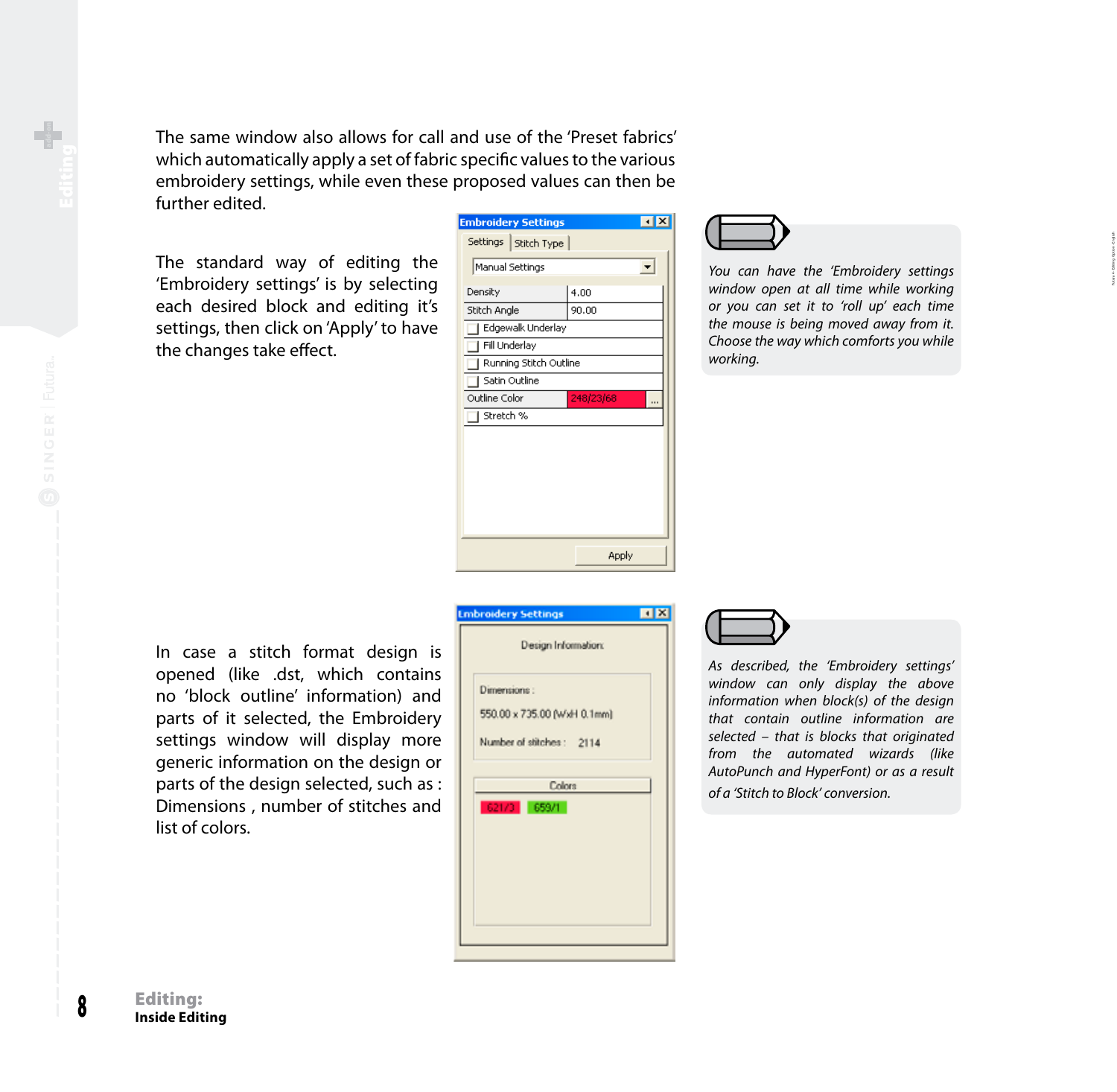The same window also allows for call and use of the 'Preset fabrics' which automatically apply a set of fabric specific values to the various embroidery settings, while even these proposed values can then be further edited.

The standard way of editing the 'Embroidery settings' is by selecting each desired block and editing it's settings, then click on 'Apply' to have the changes take effect.

| <b>Embroidery Settings</b>     |           |
|--------------------------------|-----------|
| Settings   Stitch Type         |           |
| Manual Settings                |           |
| Density                        | 4.00      |
| Stitch Angle                   | 90.00     |
| Edgewalk Underlay              |           |
| Fill Underlay                  |           |
| Running Stitch Outline         |           |
| Satin Outline<br>Outline Color | 248/23/68 |
| Stretch %                      |           |
|                                |           |
|                                |           |
|                                |           |
|                                |           |
|                                |           |
|                                |           |
|                                | Apply     |



*You can have the 'Embroidery settings window open at all time while working or you can set it to 'roll up' each time the mouse is being moved away from it. Choose the way which comforts you while working.*

Futura 4 - Editing Option - English

In case a stitch format design is opened (like .dst, which contains no 'block outline' information) and parts of it selected, the Embroidery settings window will display more generic information on the design or parts of the design selected, such as : Dimensions , number of stitches and list of colors.

| <b>Embroidery Settings</b>                 | $\blacksquare$ |
|--------------------------------------------|----------------|
| Design Information:                        |                |
| Dimensions:<br>550.00 x 735.00 (WxH 0.1mm) |                |
| Number of stitches: 2114                   |                |
| Colors                                     |                |
| 621/3 659/1                                |                |
|                                            |                |



*As described, the 'Embroidery settings' window can only display the above information when block(s) of the design that contain outline information are selected – that is blocks that originated from the automated wizards (like AutoPunch and HyperFont) or as a result of a 'Stitch to Block' conversion.*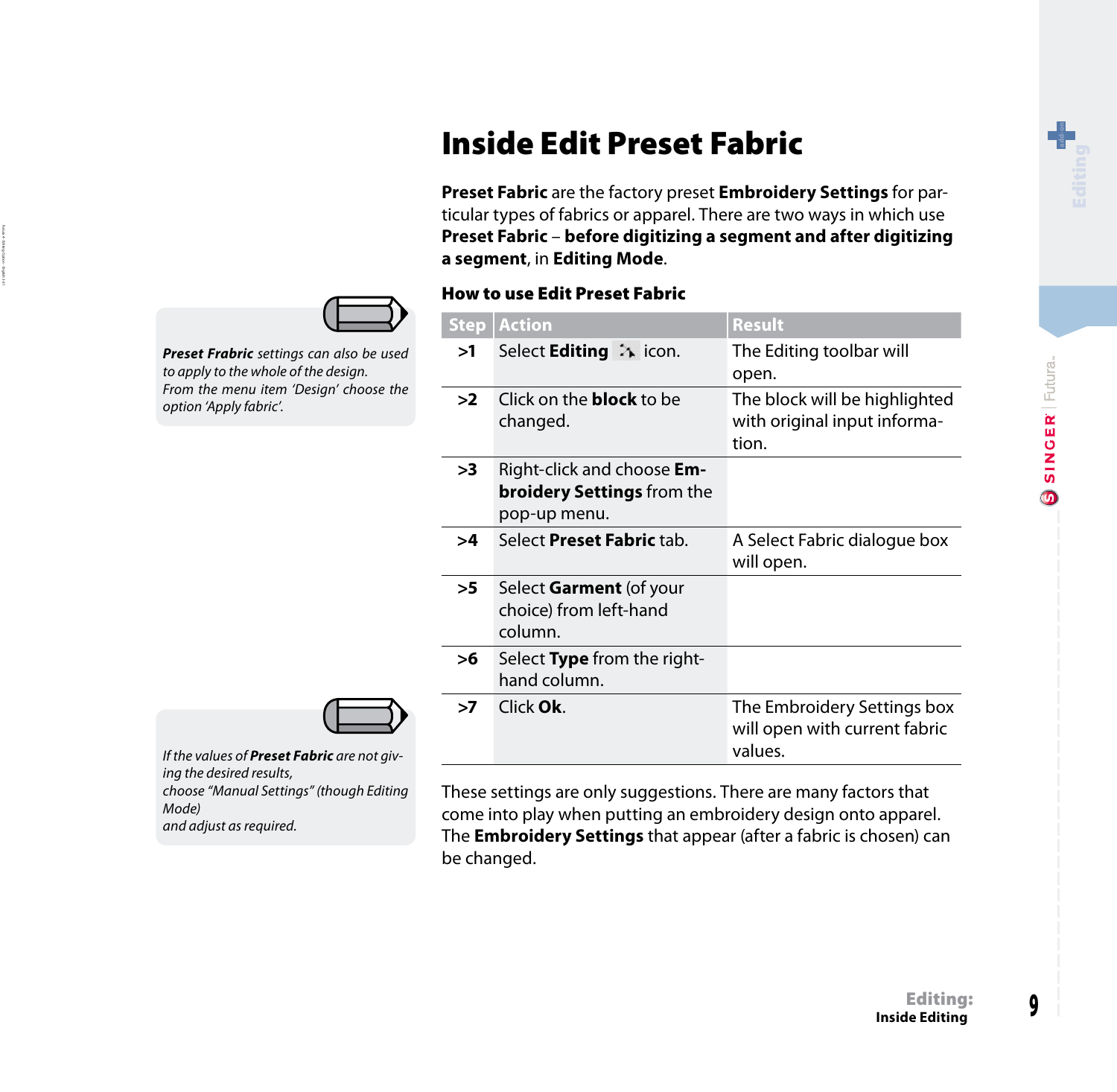# Inside Edit Preset Fabric

**Preset Fabric** are the factory preset **Embroidery Settings** for particular types of fabrics or apparel. There are two ways in which use **Preset Fabric** – **before digitizing a segment and after digitizing a segment**, in **Editing Mode**.

#### How to use Edit Preset Fabric

| <b>Step</b> | <b>Action</b>                                                                          | <b>Result</b>                                                           |
|-------------|----------------------------------------------------------------------------------------|-------------------------------------------------------------------------|
| >1          | Select <b>Editing</b> $\lambda$ icon.                                                  | The Editing toolbar will<br>open.                                       |
| >2          | Click on the <b>block</b> to be<br>changed.                                            | The block will be highlighted<br>with original input informa-<br>tion.  |
| >3          | Right-click and choose <b>Em-</b><br><b>broidery Settings</b> from the<br>pop-up menu. |                                                                         |
| >4          | Select <b>Preset Fabric</b> tab.                                                       | A Select Fabric dialogue box<br>will open.                              |
| >5          | Select Garment (of your<br>choice) from left-hand<br>column.                           |                                                                         |
| >6          | Select <b>Type</b> from the right-<br>hand column.                                     |                                                                         |
| >7          | Click <b>Ok</b> .                                                                      | The Embroidery Settings box<br>will open with current fabric<br>values. |

*Preset Frabric settings can also be used to apply to the whole of the design. From the menu item 'Design' choose the* 

*option 'Apply fabric'.*

Futura 4 - Editing Option - English 3-01



*If the values of Preset Fabric are not giving the desired results, choose "Manual Settings" (though Editing Mode) and adjust as required.*

These settings are only suggestions. There are many factors that come into play when putting an embroidery design onto apparel. The **Embroidery Settings** that appear (after a fabric is chosen) can be changed.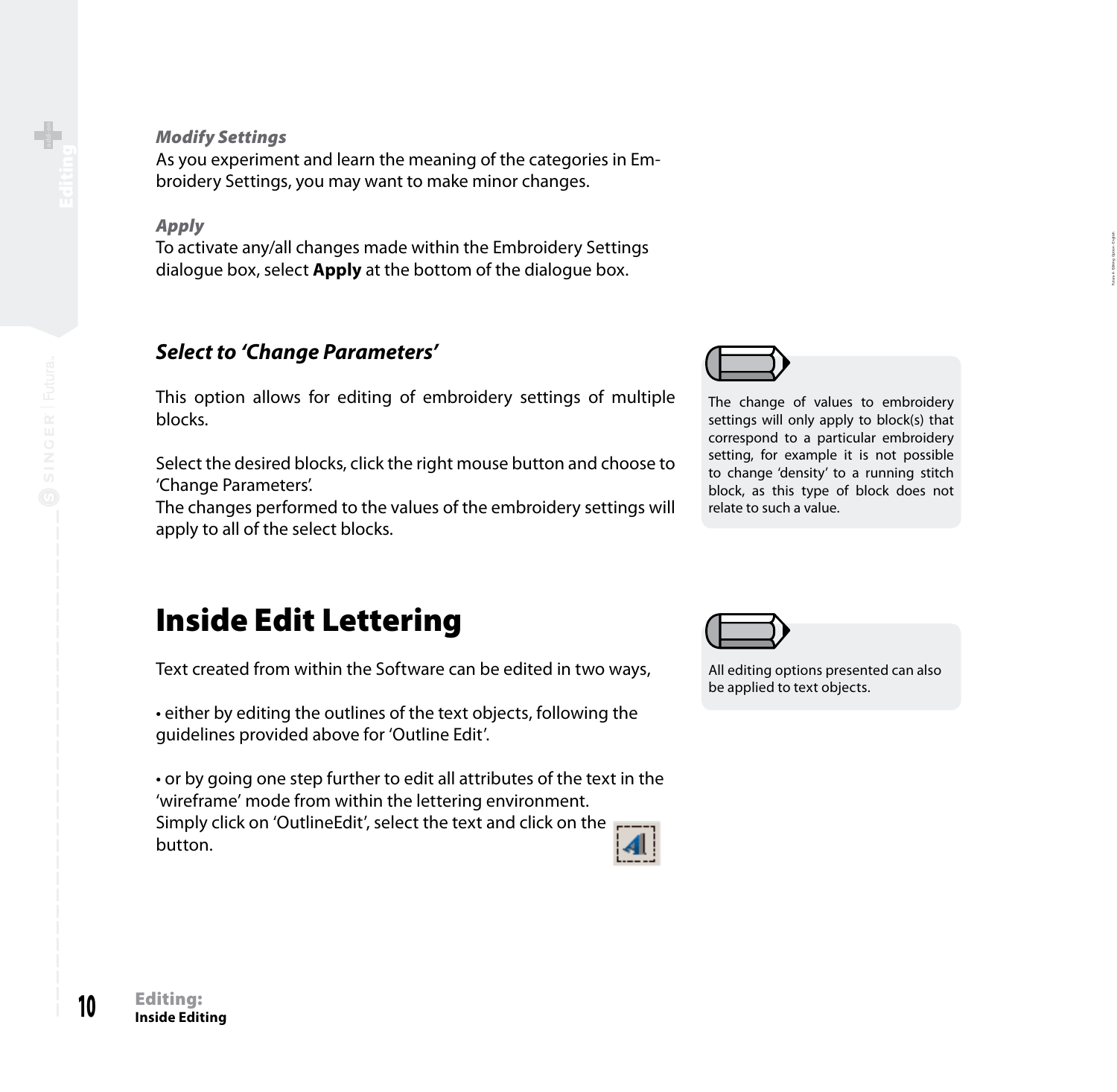#### *Modify Settings*

As you experiment and learn the meaning of the categories in Embroidery Settings, you may want to make minor changes.

#### *Apply*

To activate any/all changes made within the Embroidery Settings dialogue box, select **Apply** at the bottom of the dialogue box.

#### *Select to 'Change Parameters'*

This option allows for editing of embroidery settings of multiple blocks.

Select the desired blocks, click the right mouse button and choose to 'Change Parameters'.

The changes performed to the values of the embroidery settings will apply to all of the select blocks.

## Inside Edit Lettering

Text created from within the Software can be edited in two ways,

• either by editing the outlines of the text objects, following the guidelines provided above for 'Outline Edit'.

• or by going one step further to edit all attributes of the text in the 'wireframe' mode from within the lettering environment. Simply click on 'OutlineEdit', select the text and click on the button.



The change of values to embroidery settings will only apply to block(s) that correspond to a particular embroidery setting, for example it is not possible to change 'density' to a running stitch block, as this type of block does not relate to such a value.

Futura 4 - Editing Option - English



All editing options presented can also be applied to text objects.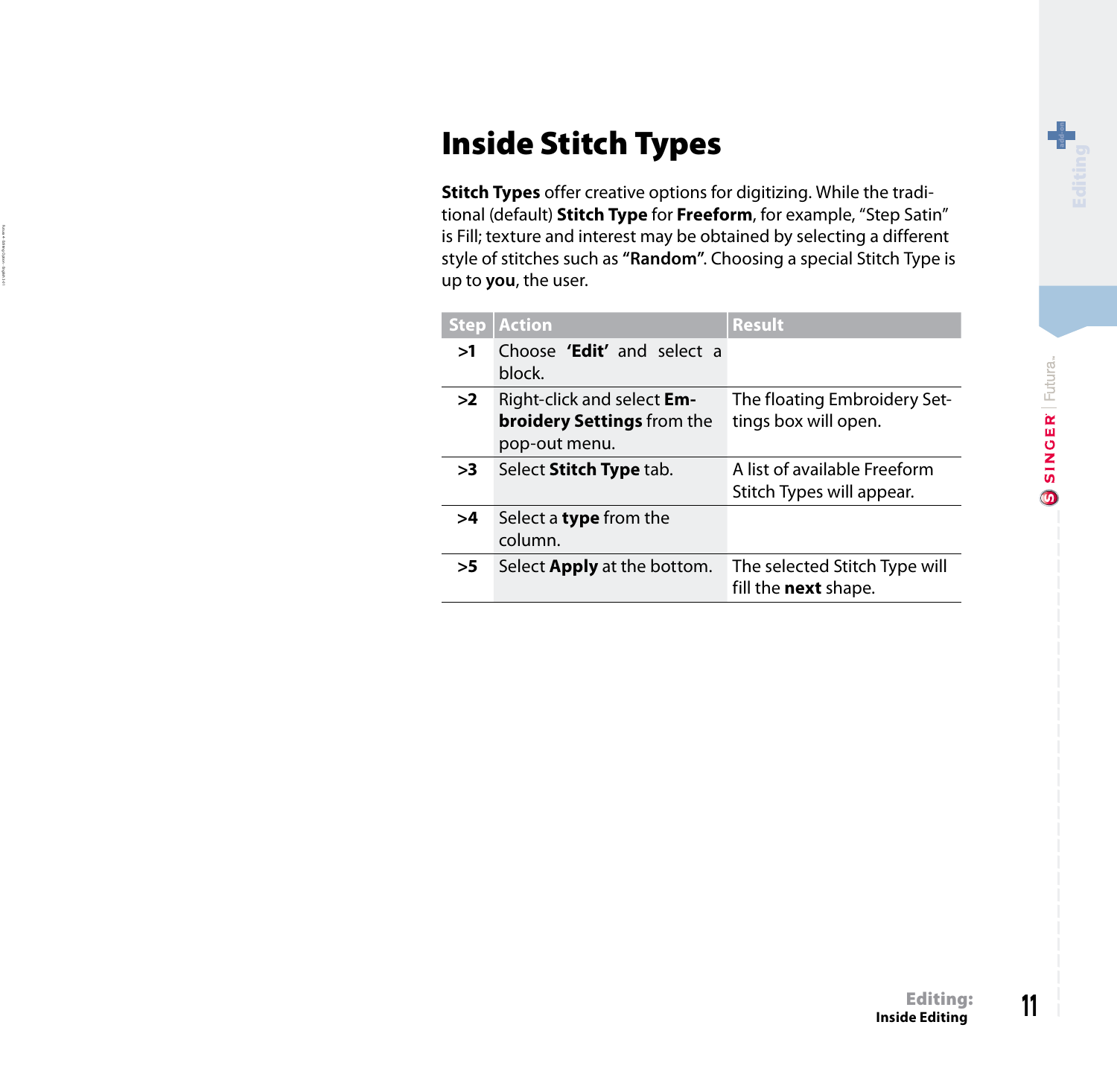# SINGER<sup>I</sup> Futura.

# Inside Stitch Types

Futura 4 - Editing Option - English 3-01

**Stitch Types** offer creative options for digitizing. While the traditional (default) **Stitch Type** for **Freeform**, for example, "Step Satin" is Fill; texture and interest may be obtained by selecting a different style of stitches such as **"Random"**. Choosing a special Stitch Type is up to **you**, the user.

| <b>Step</b> | <b>Action</b>                                                                    | <b>Result</b>                                                |
|-------------|----------------------------------------------------------------------------------|--------------------------------------------------------------|
| >1          | Choose 'Edit' and select a<br>block.                                             |                                                              |
| >2          | Right-click and select Em-<br><b>broidery Settings</b> from the<br>pop-out menu. | The floating Embroidery Set-<br>tings box will open.         |
| >3          | Select Stitch Type tab.                                                          | A list of available Freeform<br>Stitch Types will appear.    |
| >4          | Select a <b>type</b> from the<br>column.                                         |                                                              |
| >5          | Select <b>Apply</b> at the bottom.                                               | The selected Stitch Type will<br>fill the <b>next</b> shape. |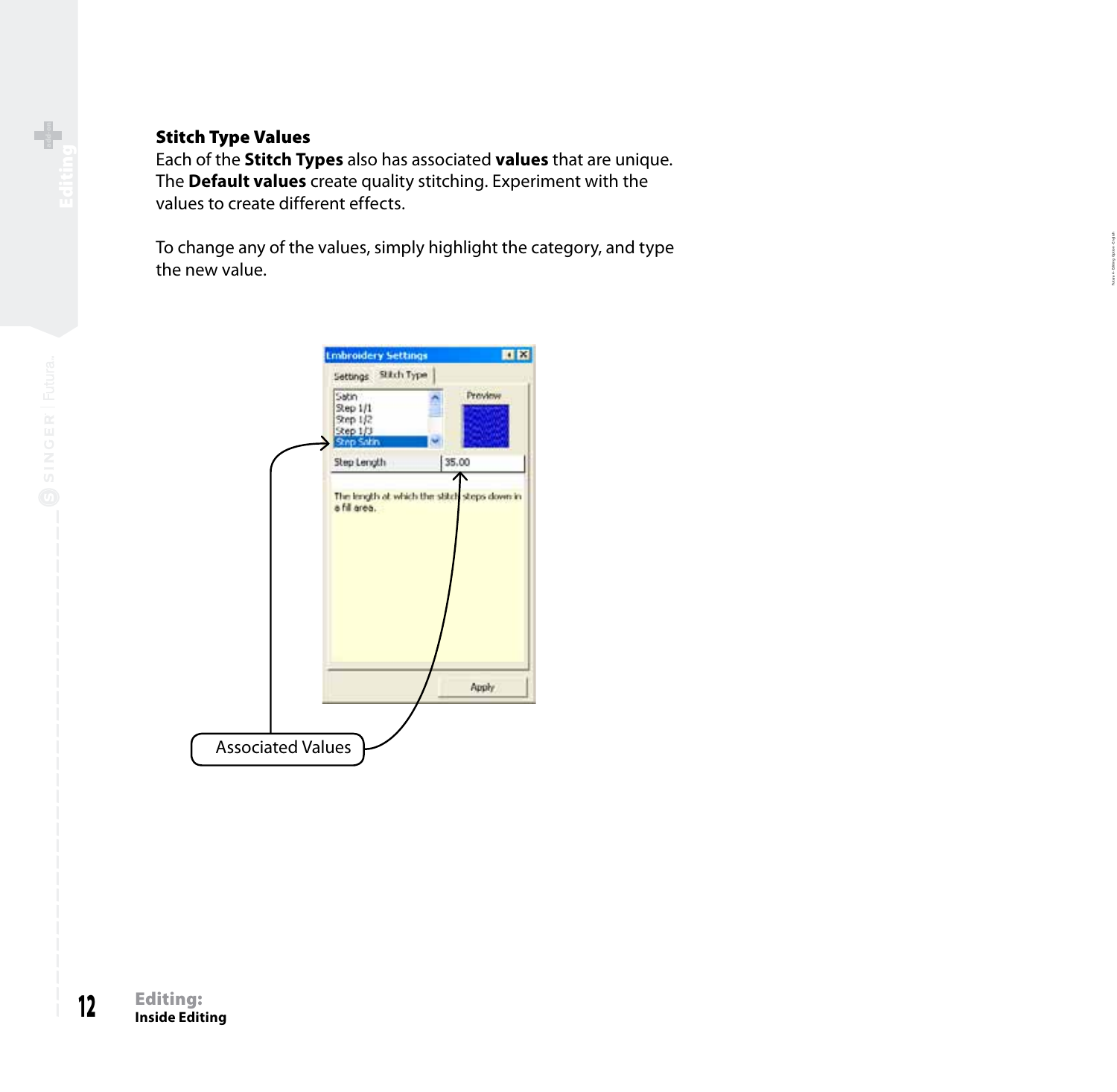#### Stitch Type Values

Each of the **Stitch Types** also has associated **values** that are unique. The **Default values** create quality stitching. Experiment with the values to create different effects.

To change any of the values, simply highlight the category, and type the new value.

Futura 4 - Editing Option - English

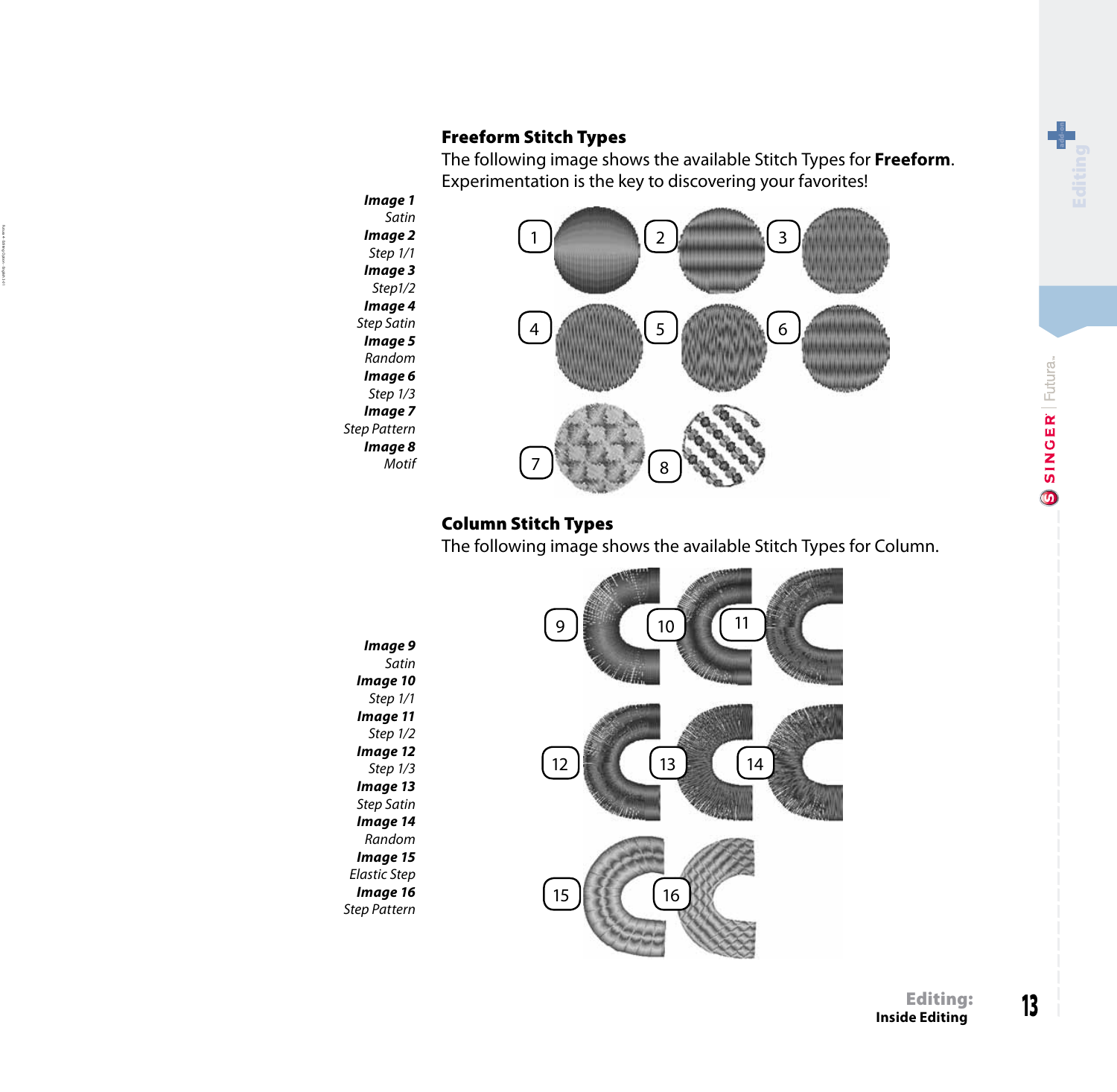# **SINGER** Futura.  $\ddot{\bm{\theta}}$

#### Freeform Stitch Types

The following image shows the available Stitch Types for **Freeform**. Experimentation is the key to discovering your favorites!

*Image 1 Satin Image 2 Step 1/1 Image 3 Step1/2 Image 4 Step Satin Image 5 Random Image 6 Step 1/3 Image 7 Step Pattern Image 8 Motif*

Futura 4 - Editing Option - English 3-01



#### Column Stitch Types

The following image shows the available Stitch Types for Column.

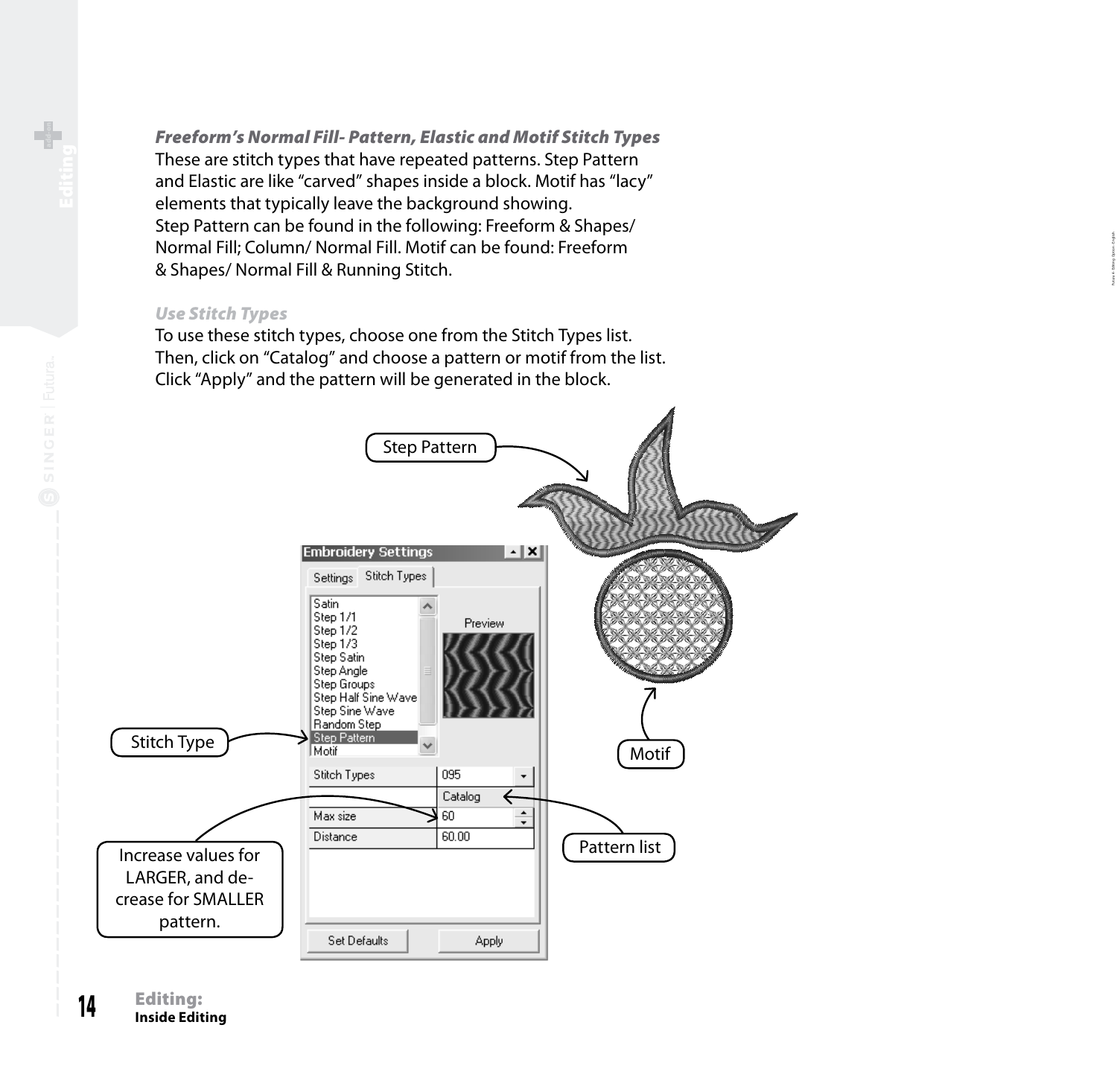*Freeform's Normal Fill- Pattern, Elastic and Motif Stitch Types* These are stitch types that have repeated patterns. Step Pattern and Elastic are like "carved" shapes inside a block. Motif has "lacy" elements that typically leave the background showing. Step Pattern can be found in the following: Freeform & Shapes/ Normal Fill; Column/ Normal Fill. Motif can be found: Freeform & Shapes/ Normal Fill & Running Stitch.

Futura 4 - Editing Option - English

#### *Use Stitch Types*

To use these stitch types, choose one from the Stitch Types list. Then, click on "Catalog" and choose a pattern or motif from the list. Click "Apply" and the pattern will be generated in the block.

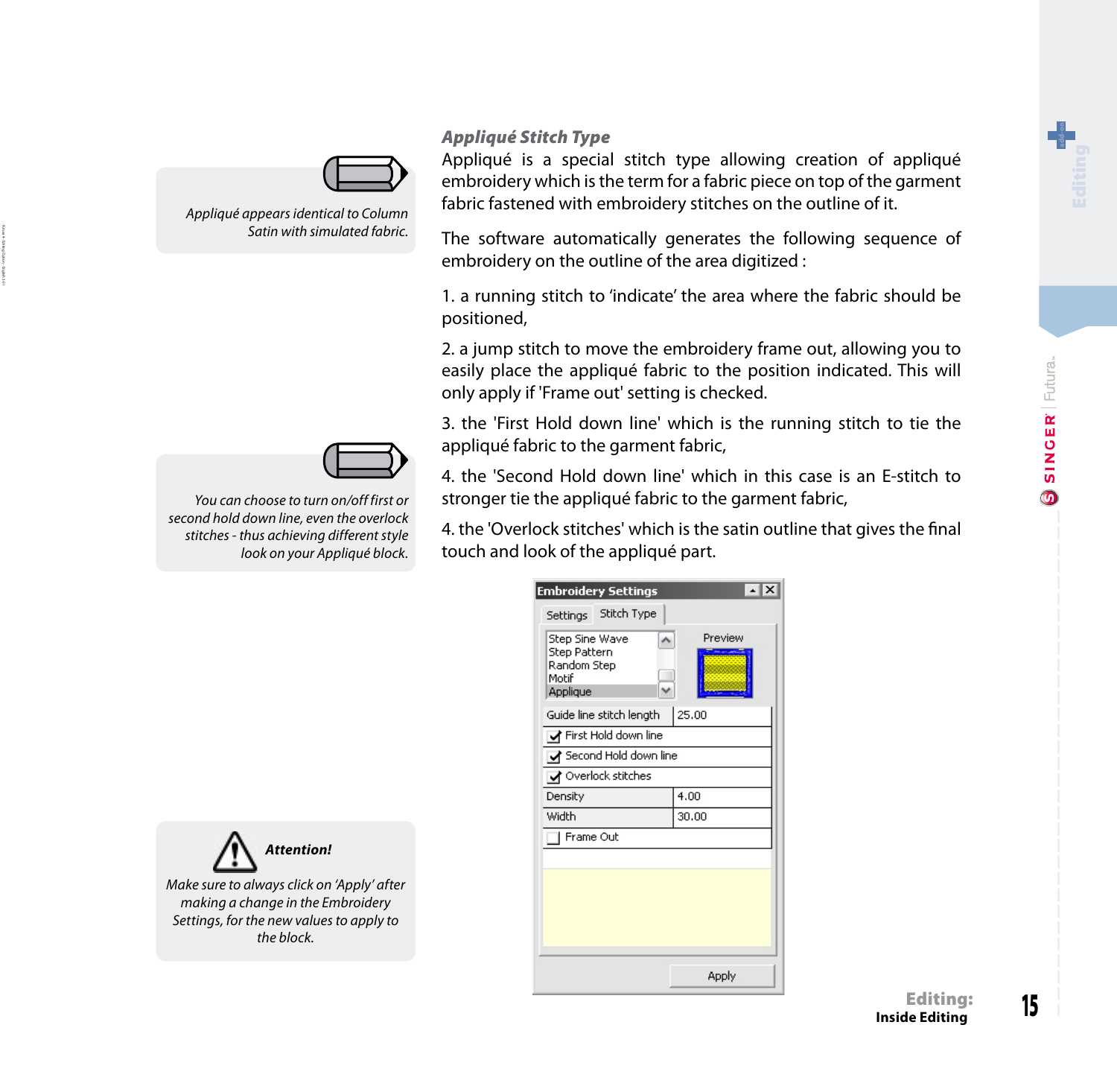

*Appliqué appears identical to Column Satin with simulated fabric.*

Futura 4 - Editing Option - English 3-01



*You can choose to turn on/off first or second hold down line, even the overlock stitches - thus achieving different style look on your Appliqué block.*

 *Attention!*

*Make sure to always click on 'Apply' after making a change in the Embroidery Settings, for the new values to apply to the block.*

*Appliqué Stitch Type* Appliqué is a special stitch type allowing creation of appliqué embroidery which is the term for a fabric piece on top of the garment fabric fastened with embroidery stitches on the outline of it.

The software automatically generates the following sequence of embroidery on the outline of the area digitized :

1. a running stitch to 'indicate' the area where the fabric should be positioned,

2. a jump stitch to move the embroidery frame out, allowing you to easily place the appliqué fabric to the position indicated. This will only apply if 'Frame out' setting is checked.

3. the 'First Hold down line' which is the running stitch to tie the appliqué fabric to the garment fabric,

4. the 'Second Hold down line' which in this case is an E-stitch to stronger tie the appliqué fabric to the garment fabric,

4. the 'Overlock stitches' which is the satin outline that gives the final touch and look of the appliqué part.

| <b>Embroidery Settings</b>                                         | $\left  \right $ |
|--------------------------------------------------------------------|------------------|
| Stitch Type<br>Settings                                            |                  |
| Step Sine Wave<br>Step Pattern<br>Random Step<br>Motif<br>Applique | Preview          |
| Guide line stitch length                                           | 25.00            |
| First Hold down line                                               |                  |
| √ Second Hold down line                                            |                  |
| √ Overlock stitches                                                |                  |
| Density                                                            | 4.00             |
| Width                                                              | 30.00            |
| Frame Out                                                          |                  |
|                                                                    |                  |
|                                                                    |                  |
|                                                                    |                  |
|                                                                    |                  |
|                                                                    |                  |
|                                                                    | Apply            |

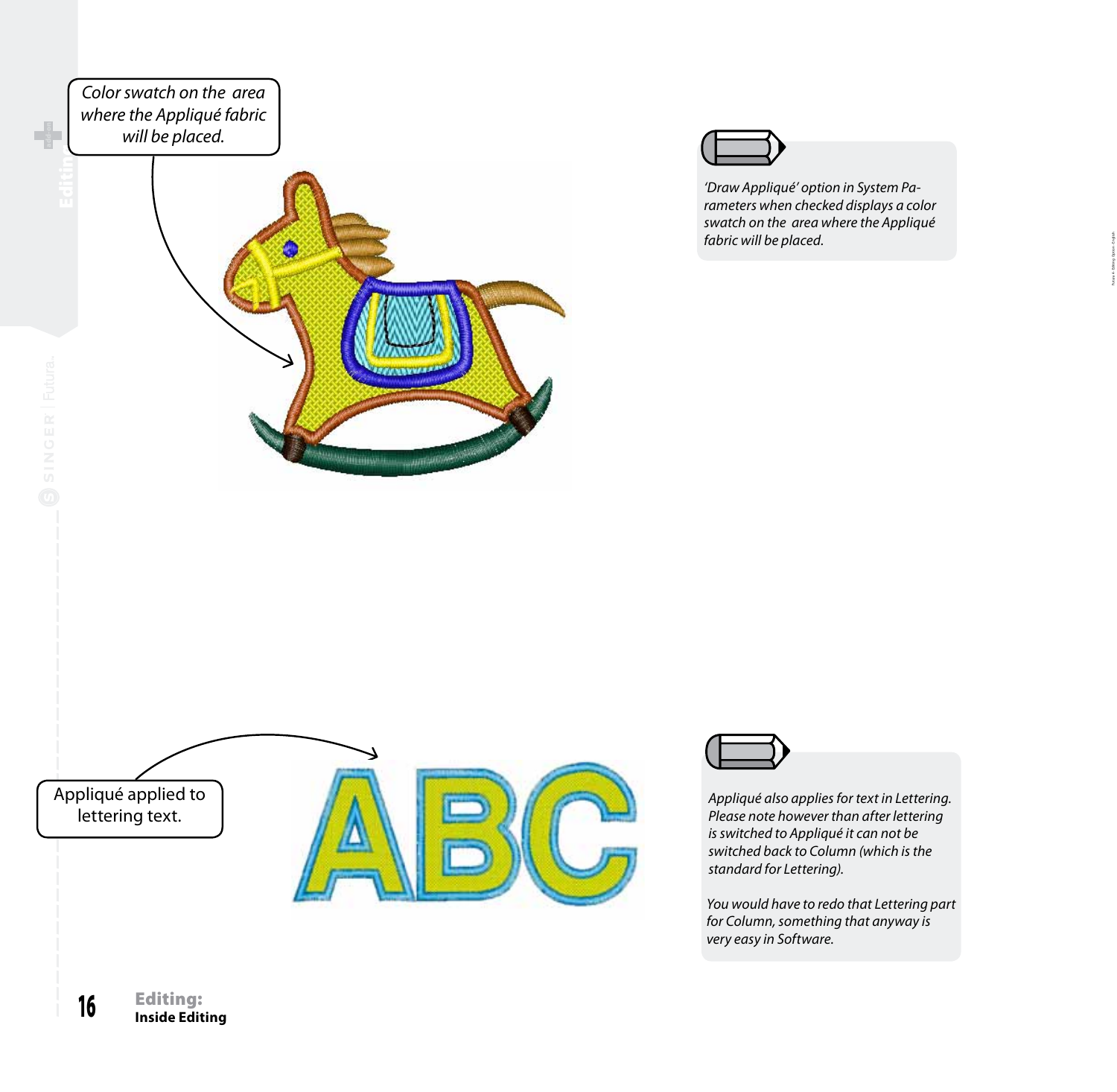



*'Draw Appliqué' option in System Parameters when checked displays a color swatch on the area where the Appliqué fabric will be placed.*

Futura 4 - Editing Option - English





*Appliqué also applies for text in Lettering. Please note however than after lettering is switched to Appliqué it can not be switched back to Column (which is the standard for Lettering).* 

*You would have to redo that Lettering part for Column, something that anyway is very easy in Software.*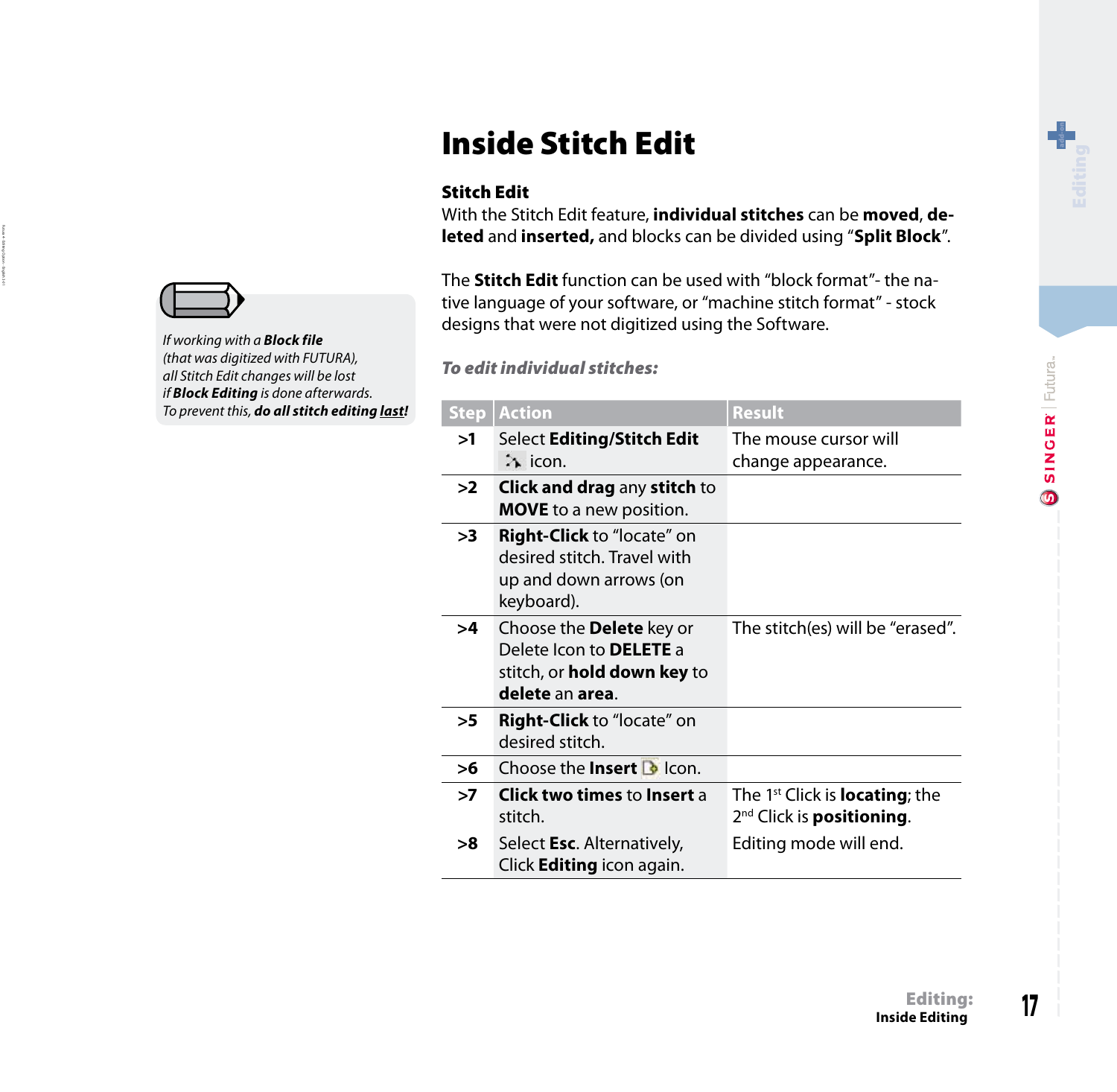# Inside Stitch Edit

#### Stitch Edit

With the Stitch Edit feature, **individual stitches** can be **moved**, **deleted** and **inserted,** and blocks can be divided using "**Split Block**".

The **Stitch Edit** function can be used with "block format"- the native language of your software, or "machine stitch format" - stock designs that were not digitized using the Software.

#### *To edit individual stitches:*

| <b>Step</b> | <b>Action</b>                                                                                                              | <b>Result</b>                                                                                       |
|-------------|----------------------------------------------------------------------------------------------------------------------------|-----------------------------------------------------------------------------------------------------|
| >1          | Select Editing/Stitch Edit<br>$\lambda$ icon.                                                                              | The mouse cursor will<br>change appearance.                                                         |
| >2          | <b>Click and drag</b> any stitch to<br><b>MOVE</b> to a new position.                                                      |                                                                                                     |
| >3          | Right-Click to "locate" on<br>desired stitch. Travel with<br>up and down arrows (on<br>keyboard).                          |                                                                                                     |
| >4          | Choose the <b>Delete</b> key or<br>Delete Icon to <b>DELETE</b> a<br>stitch, or <b>hold down key</b> to<br>delete an area. | The stitch(es) will be "erased".                                                                    |
| >5          | Right-Click to "locate" on<br>desired stitch.                                                                              |                                                                                                     |
| >6          | Choose the <b>Insert</b> $\bullet$ Icon.                                                                                   |                                                                                                     |
| >7          | <b>Click two times to Insert a</b><br>stitch.                                                                              | The 1 <sup>st</sup> Click is <b>locating</b> ; the<br>2 <sup>nd</sup> Click is <b>positioning</b> . |
| >8          | Select <b>Esc.</b> Alternatively,<br>Click <b>Editing</b> icon again.                                                      | Editing mode will end.                                                                              |

*If working with a Block file (that was digitized with FUTURA), all Stitch Edit changes will be lost if Block Editing is done afterwards. To prevent this, do all stitch editing last!*

Futura 4 - Editing Option - English 3-01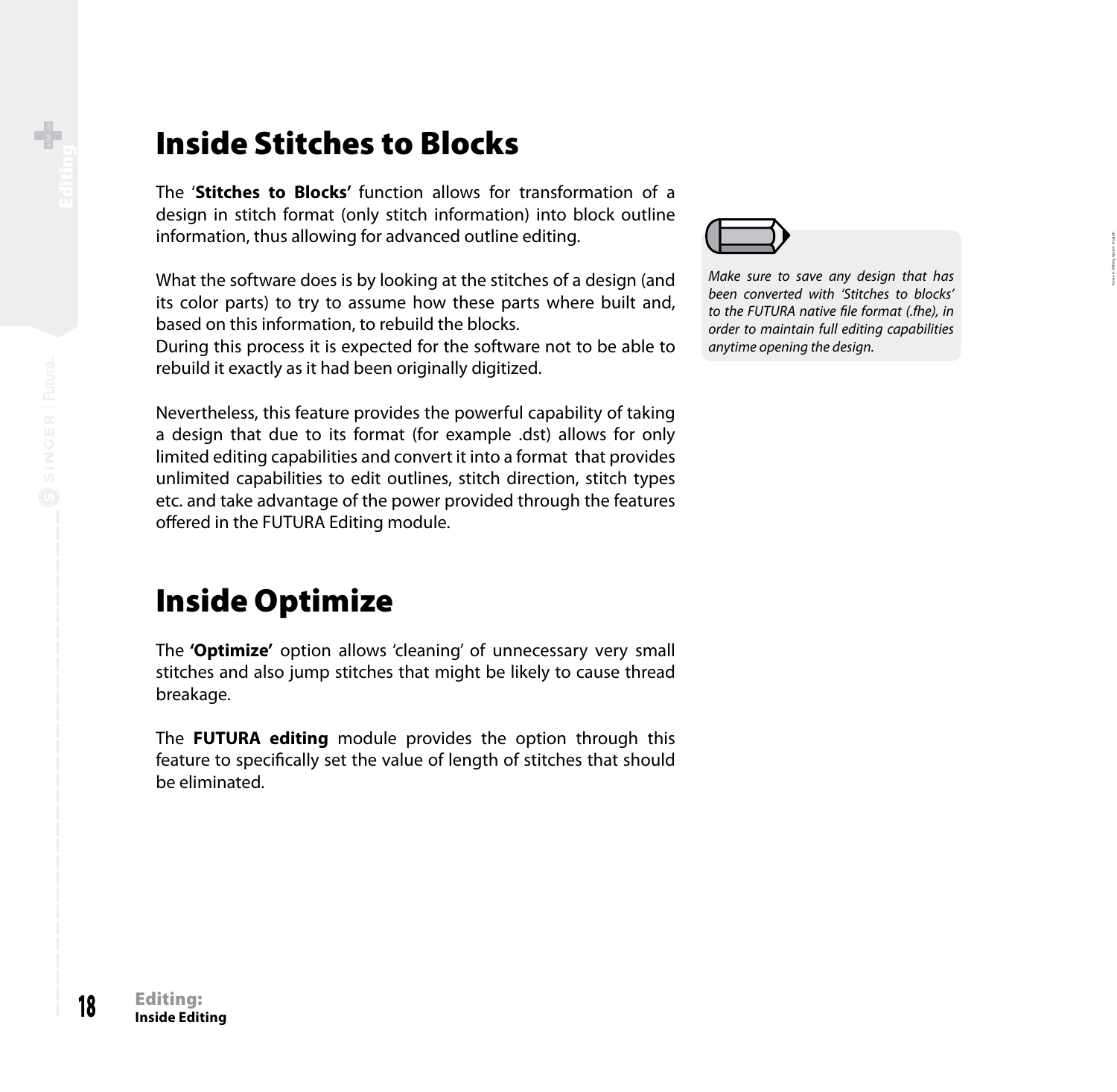## Inside Stitches to Blocks

The '**Stitches to Blocks'** function allows for transformation of a design in stitch format (only stitch information) into block outline information, thus allowing for advanced outline editing.

What the software does is by looking at the stitches of a design (and its color parts) to try to assume how these parts where built and, based on this information, to rebuild the blocks.

During this process it is expected for the software not to be able to rebuild it exactly as it had been originally digitized.

Nevertheless, this feature provides the powerful capability of taking a design that due to its format (for example .dst) allows for only limited editing capabilities and convert it into a format that provides unlimited capabilities to edit outlines, stitch direction, stitch types etc. and take advantage of the power provided through the features offered in the FUTURA Editing module.

## Inside Optimize

The **'Optimize'** option allows 'cleaning' of unnecessary very small stitches and also jump stitches that might be likely to cause thread breakage.

The **FUTURA editing** module provides the option through this feature to specifically set the value of length of stitches that should be eliminated.



*Make sure to save any design that has been converted with 'Stitches to blocks' to the FUTURA native file format (.fhe), in order to maintain full editing capabilities anytime opening the design.*

Futura 4 - Editing Option - English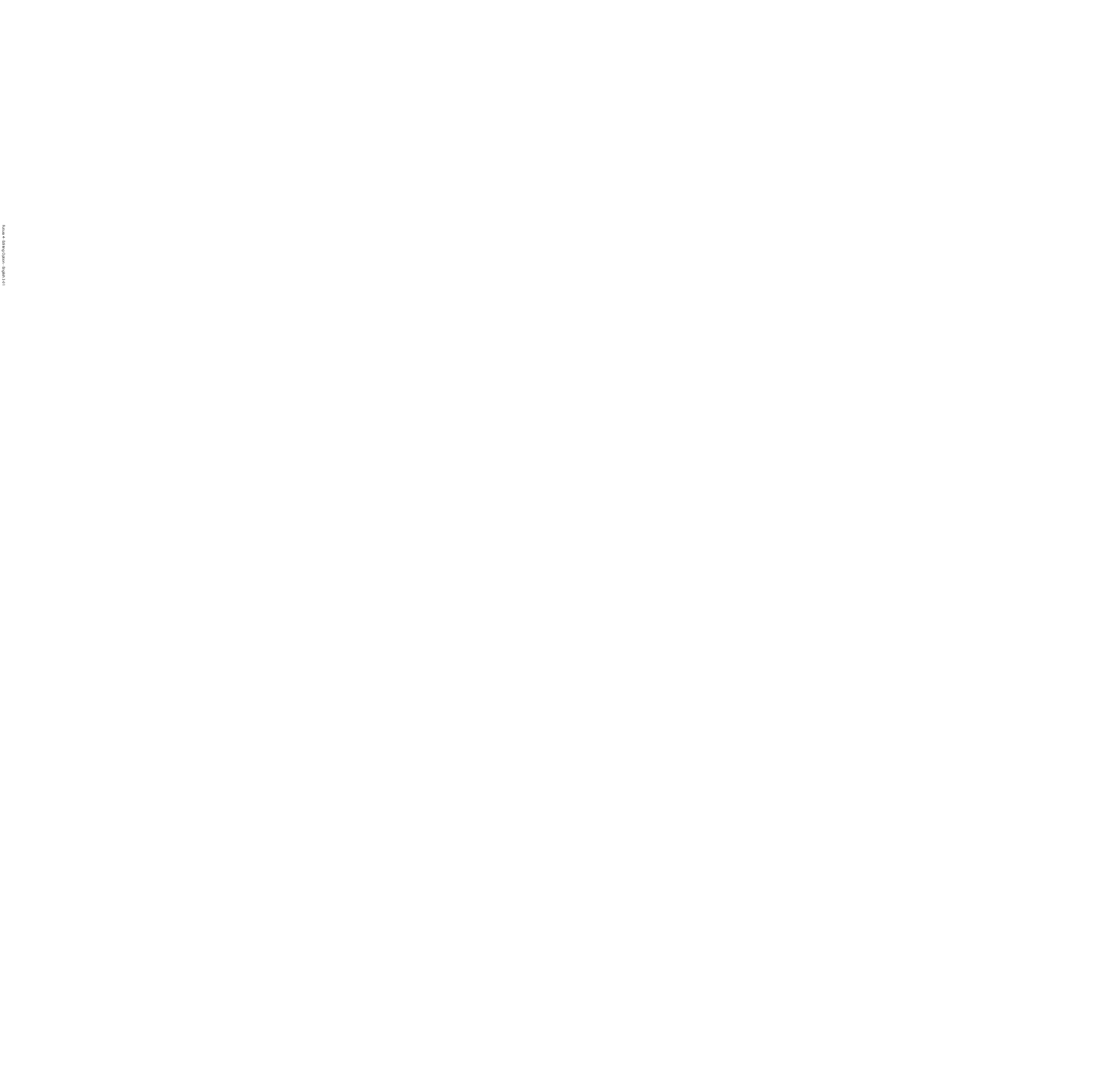Futura 4 - Editing Option - English 3-01